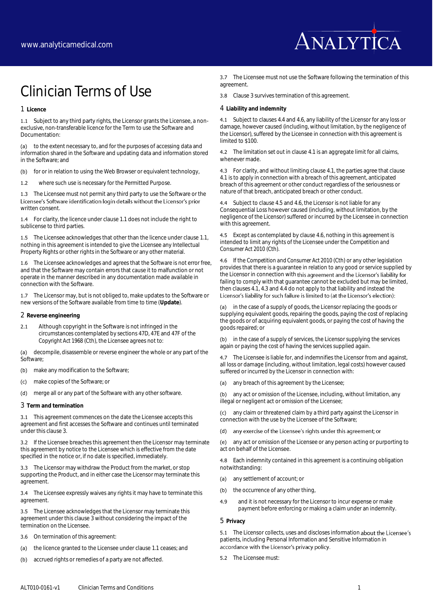

# Clinician Terms of Use

1 **Licence**

<span id="page-0-0"></span>1.1 Subject to any third party rights, the Licensor grants the Licensee, a nonexclusive, non-transferable licence for the Term to use the Software and Documentation:

(a) to the extent necessary to, and for the purposes of accessing data and information shared in the Software and updating data and information stored in the Software; and

(b) for or in relation to using the Web Browser or equivalent technology,

1.2 where such use is necessary for the Permitted Purpose.

1.3 The Licensee must not permit any third party to use the Software or the Licensee's Software identification login details without the Licensor's prior written consent.

1.4 For clarity, the licence under claus[e 1.1](#page-0-0) does not include the right to sublicense to third parties.

1.5 The Licensee acknowledges that other than the licence under clause 1.1, nothing in this agreement is intended to give the Licensee any Intellectual Property Rights or other rights in the Software or any other material.

1.6 The Licensee acknowledges and agrees that the Software is not error free, and that the Software may contain errors that cause it to malfunction or not operate in the manner described in any documentation made available in connection with the Software.

1.7 The Licensor may, but is not obliged to, make updates to the Software or new versions of the Software available from time to time (**Update**).

2 **Reverse engineering**

2.1 Although copyright in the Software is not infringed in the circumstances contemplated by sections 47D, 47E and 47F of the *Copyright Act 1968* (Cth), the Licensee agrees not to:

(a) decompile, disassemble or reverse engineer the whole or any part of the **Software** 

(b) make any modification to the Software;

(c) make copies of the Software; or

(d) merge all or any part of the Software with any other software.

<span id="page-0-1"></span>3 **Term and termination**

<span id="page-0-8"></span>3.1 This agreement commences on the date the Licensee accepts this agreement and first accesses the Software and continues until terminated under this claus[e 3.](#page-0-1)

3.2 If the Licensee breaches this agreement then the Licensor may terminate this agreement by notice to the Licensee which is effective from the date specified in the notice or, if no date is specified, immediately.

3.3 The Licensor may withdraw the Product from the market, or stop supporting the Product, and in either case the Licensor may terminate this agreement.

3.4 The Licensee expressly waives any rights it may have to terminate this agreement.

3.5 The Licensee acknowledges that the Licensor may terminate this agreement under this claus[e 3](#page-0-1) without considering the impact of the termination on the Licensee.

3.6 On termination of this agreement:

- (a) the licence granted to the Licensee under claus[e 1.1](#page-0-0) ceases; and
- (b) accrued rights or remedies of a party are not affected.

3.7 The Licensee must not use the Software following the termination of this agreement.

3.8 Claus[e 3](#page-0-1) survives termination of this agreement.

4 **Liability and indemnity**

<span id="page-0-4"></span>4.1 Subject to clause[s 4.4](#page-0-2) an[d 4.6,](#page-0-3) any liability of the Licensor for any loss or damage, however caused (including, without limitation, by the negligence of the Licensor), suffered by the Licensee in connection with this agreement is limited to \$100.

4.2 The limitation set out in claus[e 4.1](#page-0-4) is an aggregate limit for all claims, whenever made.

<span id="page-0-7"></span>4.3 For clarity, and without limiting claus[e 4.1,](#page-0-4) the parties agree that clause [4.1](#page-0-4) is to apply in connection with a breach of this agreement, anticipated breach of this agreement or other conduct regardless of the seriousness or nature of that breach, anticipated breach or other conduct.

<span id="page-0-2"></span>4.4 Subject to claus[e 4.5](#page-0-5) an[d 4.6,](#page-0-3) the Licensor is not liable for any Consequential Loss however caused (including, without limitation, by the negligence of the Licensor) suffered or incurred by the Licensee in connection with this agreement.

<span id="page-0-5"></span>4.5 Except as contemplated by claus[e 4.6,](#page-0-6) nothing in this agreement is intended to limit any rights of the Licensee under the *Competition and Consumer Act 2010* (Cth).

<span id="page-0-6"></span><span id="page-0-3"></span>4.6 If the *Competition and Consumer Act 2010* (Cth) or any other legislation provides that there is a guarantee in relation to any good or service supplied by the Licensor in connection with this agreement and the Licensor's liability for failing to comply with that guarantee cannot be excluded but may be limited, then clause[s 4.1,](#page-0-4) [4.3](#page-0-7) an[d 4.4](#page-0-2) do not apply to that liability and instead the Licensor's liability for such failure is limited to (at the Licensor's election):

(a) in the case of a supply of goods, the Licensor replacing the goods or supplying equivalent goods, repairing the goods, paying the cost of replacing the goods or of acquiring equivalent goods, or paying the cost of having the goods repaired; or

(b) in the case of a supply of services, the Licensor supplying the services again or paying the cost of having the services supplied again.

4.7 The Licensee is liable for, and indemnifies the Licensor from and against, all loss or damage (including, without limitation, legal costs) however caused suffered or incurred by the Licensor in connection with:

(a) any breach of this agreement by the Licensee;

(b) any act or omission of the Licensee, including, without limitation, any illegal or negligent act or omission of the Licensee;

(c) any claim or threatened claim by a third party against the Licensor in connection with the use by the Licensee of the Software;

#### (d) any exercise of the Licensee's rights under this agreement; or

(e) any act or omission of the Licensee or any person acting or purporting to act on behalf of the Licensee.

4.8 Each indemnity contained in this agreement is a continuing obligation notwithstanding:

- (a) any settlement of account; or
- (b) the occurrence of any other thing,
- 4.9 and it is not necessary for the Licensor to incur expense or make payment before enforcing or making a claim under an indemnity.

## 5 **Privacy**

5.1 The Licensor collects, uses and discloses information about the Licensee's patients, including Personal Information and Sensitive Information in accordance with the Licensor's privacy policy.

5.2 The Licensee must: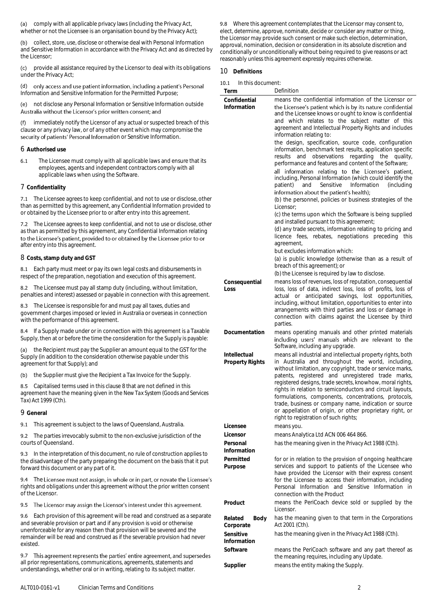(a) comply with all applicable privacy laws (including the Privacy Act, whether or not the Licensee is an organisation bound by the Privacy Act);

(b) collect, store, use, disclose or otherwise deal with Personal Information and Sensitive Information in accordance with the Privacy Act and as directed by the Licensor

(c) provide all assistance required by the Licensor to deal with its obligations under the Privacy Act;

(d) only access and use patient information, including a patient's Personal Information and Sensitive Information for the Permitted Purpose;

(e) not disclose any Personal Information or Sensitive Information outside<br>Australia without the Licensor's prior written consent; and

(f) immediately notify the Licensor of any actual or suspected breach of this clause or any privacy law, or of any other event which may compromise the security of patients' Personal Information or Sensitive Information.

## 6 **Authorised use**

6.1 The Licensee must comply with all applicable laws and ensure that its employees, agents and independent contractors comply with all applicable laws when using the Software.

# 7 **Confidentiality**

7.1 The Licensee agrees to keep confidential, and not to use or disclose, other than as permitted by this agreement, any Confidential Information provided to or obtained by the Licensee prior to or after entry into this agreement.

7.2 The Licensee agrees to keep confidential, and not to use or disclose, other as than as permitted by this agreement, any Confidential Information relating<br>to the Licensee's patient, provided to or obtained by the Licensee prior to or after entry into this agreement.

## 8 **Costs, stamp duty and GST**

8.1 Each party must meet or pay its own legal costs and disbursements in respect of the preparation, negotiation and execution of this agreement.

8.2 The Licensee must pay all stamp duty (including, without limitation, penalties and interest) assessed or payable in connection with this agreement.

8.3 The Licensee is responsible for and must pay all taxes, duties and government charges imposed or levied in Australia or overseas in connection with the performance of this agreement.

8.4 If a Supply made under or in connection with this agreement is a Taxable Supply, then at or before the time the consideration for the Supply is payable:

(a) the Recipient must pay the Supplier an amount equal to the GST for the Supply (in addition to the consideration otherwise payable under this agreement for that Supply); and

(b) the Supplier must give the Recipient a Tax Invoice for the Supply.

8.5 Capitalised terms used in this clause 8 that are not defined in this agreement have the meaning given in the *New Tax System (Goods and Services Tax) Act 1999* (Cth).

## 9 **General**

9.1 This agreement is subject to the laws of Queensland, Australia.

9.2 The parties irrevocably submit to the non-exclusive jurisdiction of the courts of Queensland.

9.3 In the interpretation of this document, no rule of construction applies to the disadvantage of the party preparing the document on the basis that it put forward this document or any part of it.

9.4 The Licensee must not assign, in whole or in part, or novate the Licensee's rights and obligations under this agreement without the prior written consent of the Licensor.

# 9.5 The Licensor may assign the Licensor's interest under this agreement.

9.6 Each provision of this agreement will be read and construed as a separate and severable provision or part and if any provision is void or otherwise unenforceable for any reason then that provision will be severed and the remainder will be read and construed as if the severable provision had never existed.

9.7 This agreement represents the parties' entire agreement, and supersedes all prior representations, communications, agreements, statements and understandings, whether oral or in writing, relating to its subject matter.

9.8 Where this agreement contemplates that the Licensor may consent to, elect, determine, approve, nominate, decide or consider any matter or thing, the Licensor may provide such consent or make such election, determination, approval, nomination, decision or consideration in its absolute discretion and conditionally or unconditionally without being required to give reasons or act reasonably unless this agreement expressly requires otherwise.

# 10 **Definitions**

| In this document:<br>10.1 |  |
|---------------------------|--|
|---------------------------|--|

| Term                         | Definition                                                                                                             |
|------------------------------|------------------------------------------------------------------------------------------------------------------------|
| Confidential                 | means the confidential information of the Licensor or                                                                  |
| Information                  | the Licensee's patient which is by its nature confidential                                                             |
|                              | and the Licensee knows or ought to know is confidential                                                                |
|                              | and which relates to the subject matter of this                                                                        |
|                              | agreement and Intellectual Property Rights and includes<br>information relating to:                                    |
|                              |                                                                                                                        |
|                              | the design, specification, source code, configuration<br>information, benchmark test results, application specific     |
|                              | and<br>observations<br>regarding the<br>results<br>quality,                                                            |
|                              | performance and features and content of the Software;                                                                  |
|                              | all information relating to the Licensee's patient,                                                                    |
|                              | including, Personal Information (which could identify the                                                              |
|                              | Sensitive<br>Information<br>patient)<br>and<br><i>(including)</i>                                                      |
|                              | information about the patient's health);                                                                               |
|                              | (b) the personnel, policies or business strategies of the<br>Licensor:                                                 |
|                              | (c) the terms upon which the Software is being supplied<br>and installed pursuant to this agreement;                   |
|                              | (d) any trade secrets, information relating to pricing and                                                             |
|                              | licence fees, rebates, negotiations preceding this<br>agreement,                                                       |
|                              | but excludes information which:                                                                                        |
|                              | (a) is public knowledge (otherwise than as a result of                                                                 |
|                              | breach of this agreement); or                                                                                          |
|                              | (b) the Licensee is required by law to disclose.                                                                       |
| Consequential                | means loss of revenues, loss of reputation, consequential                                                              |
| Loss                         | loss, loss of data, indirect loss, loss of profits, loss of                                                            |
|                              | actual or anticipated savings, lost opportunities,<br>including, without limitation, opportunities to enter into       |
|                              | arrangements with third parties and loss or damage in                                                                  |
|                              | connection with claims against the Licensee by third                                                                   |
|                              | parties.                                                                                                               |
| Documentation                | means operating manuals and other printed materials                                                                    |
|                              | including users' manuals which are relevant to the                                                                     |
|                              | Software, including any upgrade.                                                                                       |
| Intellectual                 | means all industrial and intellectual property rights, both                                                            |
| Property Rights              | in Australia and throughout the world, including,                                                                      |
|                              | without limitation, any copyright, trade or service marks,                                                             |
|                              | patents, registered and unregistered trade marks,                                                                      |
|                              | registered designs, trade secrets, knowhow, moral rights,<br>rights in relation to semiconductors and circuit layouts, |
|                              | formulations, components, concentrations, protocols,                                                                   |
|                              | trade, business or company name, indication or source                                                                  |
|                              | or appellation of origin, or other proprietary right, or                                                               |
|                              | right to registration of such rights;                                                                                  |
| Licensee                     | means you.                                                                                                             |
| Licensor                     | means Analytica Ltd ACN 006 464 866.                                                                                   |
| Personal                     | has the meaning given in the <i>Privacy Act 1988</i> (Cth).                                                            |
| Information                  |                                                                                                                        |
| Permitted                    | for or in relation to the provision of ongoing healthcare                                                              |
| Purpose                      | services and support to patients of the Licensee who<br>have provided the Licensor with their express consent          |
|                              | for the Licensee to access their information, including                                                                |
|                              | Personal Information and Sensitive Information<br>- in                                                                 |
|                              | connection with the Product                                                                                            |
| Product                      | means the PeriCoach device sold or supplied by the<br>Licensor.                                                        |
| Related<br>Body<br>Corporate | has the meaning given to that term in the Corporations<br>Act 2001 (Cth).                                              |
| Sensitive                    | has the meaning given in the Privacy Act 1988 (Cth).                                                                   |
| Information                  |                                                                                                                        |
| Software                     | means the PeriCoach software and any part thereof as                                                                   |
|                              | the meaning requires, including any Update.                                                                            |
| Supplier                     | means the entity making the Supply.                                                                                    |
|                              |                                                                                                                        |